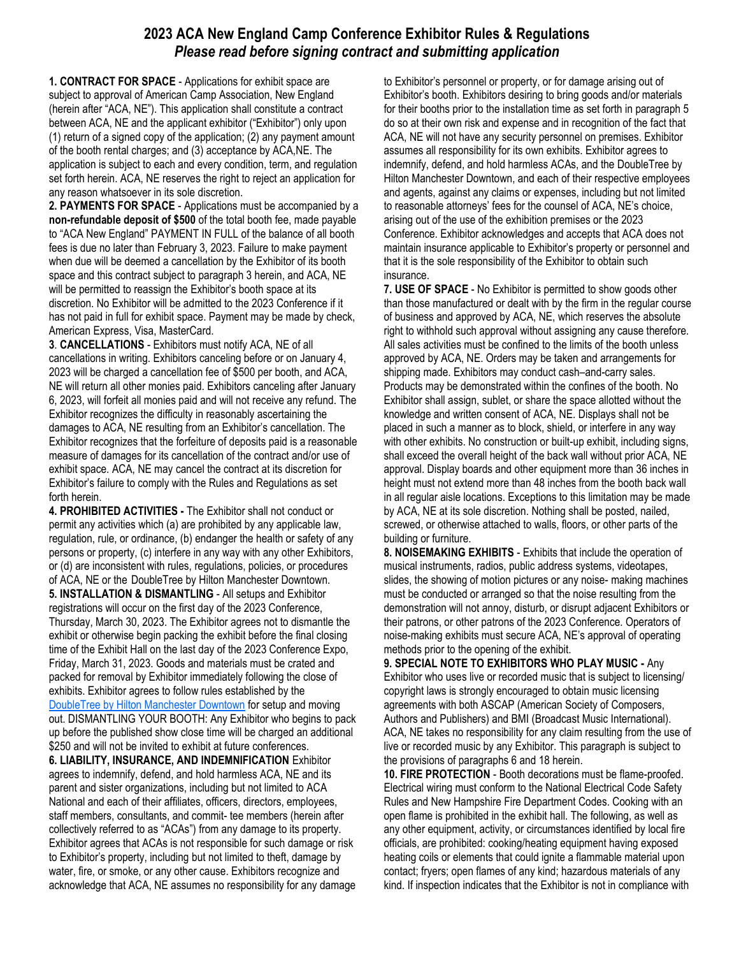## **2023 ACA New England Camp Conference Exhibitor Rules & Regulations**  *Please read before signing contract and submitting application*

**1. CONTRACT FOR SPACE** - Applications for exhibit space are subject to approval of American Camp Association, New England (herein after "ACA, NE"). This application shall constitute a contract between ACA, NE and the applicant exhibitor ("Exhibitor") only upon (1) return of a signed copy of the application; (2) any payment amount of the booth rental charges; and (3) acceptance by ACA,NE. The application is subject to each and every condition, term, and regulation set forth herein. ACA, NE reserves the right to reject an application for any reason whatsoever in its sole discretion.

**2. PAYMENTS FOR SPACE** - Applications must be accompanied by a **non-refundable deposit of \$500** of the total booth fee, made payable to "ACA New England" PAYMENT IN FULL of the balance of all booth fees is due no later than February 3, 2023. Failure to make payment when due will be deemed a cancellation by the Exhibitor of its booth space and this contract subject to paragraph 3 herein, and ACA, NE will be permitted to reassign the Exhibitor's booth space at its discretion. No Exhibitor will be admitted to the 2023 Conference if it has not paid in full for exhibit space. Payment may be made by check, American Express, Visa, MasterCard.

**3**. **CANCELLATIONS** - Exhibitors must notify ACA, NE of all cancellations in writing. Exhibitors canceling before or on January 4, 2023 will be charged a cancellation fee of \$500 per booth, and ACA, NE will return all other monies paid. Exhibitors canceling after January 6, 2023, will forfeit all monies paid and will not receive any refund. The Exhibitor recognizes the difficulty in reasonably ascertaining the damages to ACA, NE resulting from an Exhibitor's cancellation. The Exhibitor recognizes that the forfeiture of deposits paid is a reasonable measure of damages for its cancellation of the contract and/or use of exhibit space. ACA, NE may cancel the contract at its discretion for Exhibitor's failure to comply with the Rules and Regulations as set forth herein.

**4. PROHIBITED ACTIVITIES -** The Exhibitor shall not conduct or permit any activities which (a) are prohibited by any applicable law, regulation, rule, or ordinance, (b) endanger the health or safety of any persons or property, (c) interfere in any way with any other Exhibitors, or (d) are inconsistent with rules, regulations, policies, or procedures of ACA, NE or the DoubleTree by Hilton Manchester Downtown. **5. INSTALLATION & DISMANTLING** - All setups and Exhibitor registrations will occur on the first day of the 2023 Conference, Thursday, March 30, 2023. The Exhibitor agrees not to dismantle the exhibit or otherwise begin packing the exhibit before the final closing time of the Exhibit Hall on the last day of the 2023 Conference Expo, Friday, March 31, 2023. Goods and materials must be crated and packed for removal by Exhibitor immediately following the close of exhibits. Exhibitor agrees to follow rules established by the DoubleTree by Hilton Manchester Downtown for setup and moving out. DISMANTLING YOUR BOOTH: Any Exhibitor who begins to pack up before the published show close time will be charged an additional \$250 and will not be invited to exhibit at future conferences. **6. LIABILITY, INSURANCE, AND INDEMNIFICATION** Exhibitor agrees to indemnify, defend, and hold harmless ACA, NE and its parent and sister organizations, including but not limited to ACA National and each of their affiliates, officers, directors, employees, staff members, consultants, and commit- tee members (herein after collectively referred to as "ACAs") from any damage to its property.

Exhibitor agrees that ACAs is not responsible for such damage or risk to Exhibitor's property, including but not limited to theft, damage by water, fire, or smoke, or any other cause. Exhibitors recognize and acknowledge that ACA, NE assumes no responsibility for any damage

to Exhibitor's personnel or property, or for damage arising out of Exhibitor's booth. Exhibitors desiring to bring goods and/or materials for their booths prior to the installation time as set forth in paragraph 5 do so at their own risk and expense and in recognition of the fact that ACA, NE will not have any security personnel on premises. Exhibitor assumes all responsibility for its own exhibits. Exhibitor agrees to indemnify, defend, and hold harmless ACAs, and the DoubleTree by Hilton Manchester Downtown, and each of their respective employees and agents, against any claims or expenses, including but not limited to reasonable attorneys' fees for the counsel of ACA, NE's choice, arising out of the use of the exhibition premises or the 2023 Conference. Exhibitor acknowledges and accepts that ACA does not maintain insurance applicable to Exhibitor's property or personnel and that it is the sole responsibility of the Exhibitor to obtain such insurance.

**7. USE OF SPACE** - No Exhibitor is permitted to show goods other than those manufactured or dealt with by the firm in the regular course of business and approved by ACA, NE, which reserves the absolute right to withhold such approval without assigning any cause therefore. All sales activities must be confined to the limits of the booth unless approved by ACA, NE. Orders may be taken and arrangements for shipping made. Exhibitors may conduct cash–and-carry sales. Products may be demonstrated within the confines of the booth. No Exhibitor shall assign, sublet, or share the space allotted without the knowledge and written consent of ACA, NE. Displays shall not be placed in such a manner as to block, shield, or interfere in any way with other exhibits. No construction or built-up exhibit, including signs, shall exceed the overall height of the back wall without prior ACA, NE approval. Display boards and other equipment more than 36 inches in height must not extend more than 48 inches from the booth back wall in all regular aisle locations. Exceptions to this limitation may be made by ACA, NE at its sole discretion. Nothing shall be posted, nailed, screwed, or otherwise attached to walls, floors, or other parts of the building or furniture.

**8. NOISEMAKING EXHIBITS** - Exhibits that include the operation of musical instruments, radios, public address systems, videotapes, slides, the showing of motion pictures or any noise- making machines must be conducted or arranged so that the noise resulting from the demonstration will not annoy, disturb, or disrupt adjacent Exhibitors or their patrons, or other patrons of the 2023 Conference. Operators of noise-making exhibits must secure ACA, NE's approval of operating methods prior to the opening of the exhibit.

**9. SPECIAL NOTE TO EXHIBITORS WHO PLAY MUSIC -** Any Exhibitor who uses live or recorded music that is subject to licensing/ copyright laws is strongly encouraged to obtain music licensing agreements with both ASCAP (American Society of Composers, Authors and Publishers) and BMI (Broadcast Music International). ACA, NE takes no responsibility for any claim resulting from the use of live or recorded music by any Exhibitor. This paragraph is subject to the provisions of paragraphs 6 and 18 herein.

**10. FIRE PROTECTION** - Booth decorations must be flame-proofed. Electrical wiring must conform to the National Electrical Code Safety Rules and New Hampshire Fire Department Codes. Cooking with an open flame is prohibited in the exhibit hall. The following, as well as any other equipment, activity, or circumstances identified by local fire officials, are prohibited: cooking/heating equipment having exposed heating coils or elements that could ignite a flammable material upon contact; fryers; open flames of any kind; hazardous materials of any kind. If inspection indicates that the Exhibitor is not in compliance with